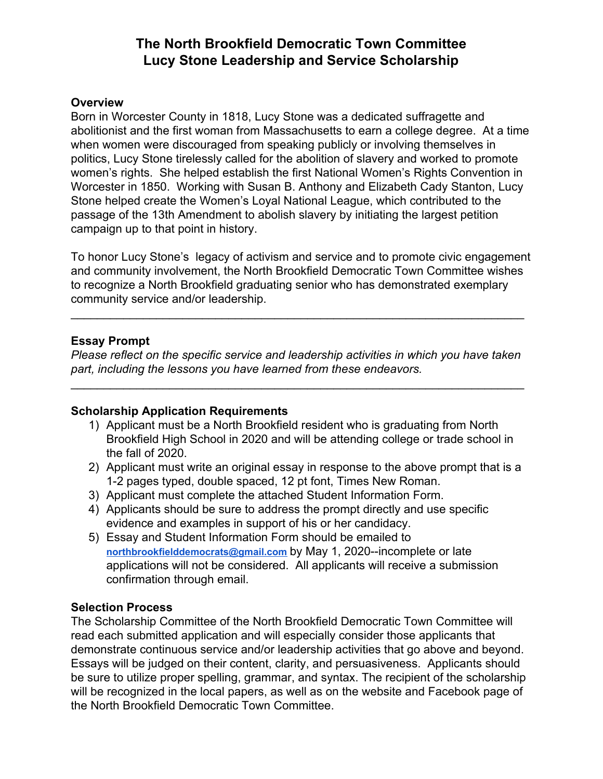# **The North Brookfield Democratic Town Committee Lucy Stone Leadership and Service Scholarship**

#### **Overview**

Born in Worcester County in 1818, Lucy Stone was a dedicated suffragette and abolitionist and the first woman from Massachusetts to earn a college degree. At a time when women were discouraged from speaking publicly or involving themselves in politics, Lucy Stone tirelessly called for the abolition of slavery and worked to promote women's rights. She helped establish the first National Women's Rights Convention in Worcester in 1850. Working with Susan B. Anthony and Elizabeth Cady Stanton, Lucy Stone helped create the Women's Loyal National League, which contributed to the passage of the 13th Amendment to abolish slavery by initiating the largest petition campaign up to that point in history.

To honor Lucy Stone's legacy of activism and service and to promote civic engagement and community involvement, the North Brookfield Democratic Town Committee wishes to recognize a North Brookfield graduating senior who has demonstrated exemplary community service and/or leadership.

\_\_\_\_\_\_\_\_\_\_\_\_\_\_\_\_\_\_\_\_\_\_\_\_\_\_\_\_\_\_\_\_\_\_\_\_\_\_\_\_\_\_\_\_\_\_\_\_\_\_\_\_\_\_\_\_\_\_\_\_\_\_\_\_\_\_\_\_\_

#### **Essay Prompt**

*Please reflect on the specific service and leadership activities in which you have taken part, including the lessons you have learned from these endeavors.*

\_\_\_\_\_\_\_\_\_\_\_\_\_\_\_\_\_\_\_\_\_\_\_\_\_\_\_\_\_\_\_\_\_\_\_\_\_\_\_\_\_\_\_\_\_\_\_\_\_\_\_\_\_\_\_\_\_\_\_\_\_\_\_\_\_\_\_\_\_

## **Scholarship Application Requirements**

- 1) Applicant must be a North Brookfield resident who is graduating from North Brookfield High School in 2020 and will be attending college or trade school in the fall of 2020.
- 2) Applicant must write an original essay in response to the above prompt that is a 1-2 pages typed, double spaced, 12 pt font, Times New Roman.
- 3) Applicant must complete the attached Student Information Form.
- 4) Applicants should be sure to address the prompt directly and use specific evidence and examples in support of his or her candidacy.
- 5) Essay and Student Information Form should be emailed to **[northbrookfielddemocrats@gmail.com](mailto:northbrookfielddemocrats@gmail.com)** by May 1, 2020--incomplete or late applications will not be considered. All applicants will receive a submission confirmation through email.

## **Selection Process**

The Scholarship Committee of the North Brookfield Democratic Town Committee will read each submitted application and will especially consider those applicants that demonstrate continuous service and/or leadership activities that go above and beyond. Essays will be judged on their content, clarity, and persuasiveness. Applicants should be sure to utilize proper spelling, grammar, and syntax. The recipient of the scholarship will be recognized in the local papers, as well as on the website and Facebook page of the North Brookfield Democratic Town Committee.